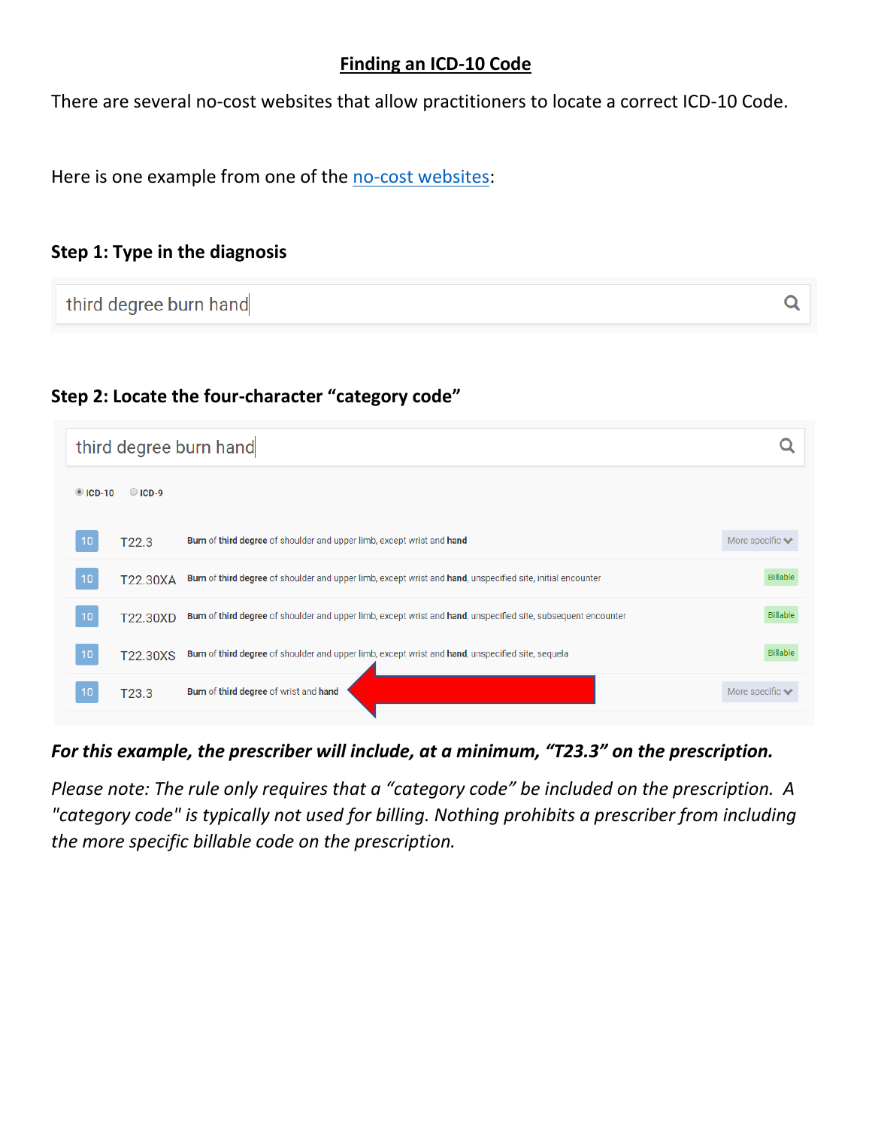## **Finding an ICD-10 Code**

There are several no-cost websites that allow practitioners to locate a correct ICD-10 Code.

Here is one example from one of the [no-cost websites:](https://www.nuemd.com/icd-10/codes)

## **Step 1: Type in the diagnosis**

| third degree burn hand |  |  |
|------------------------|--|--|
|------------------------|--|--|

## **Step 2: Locate the four-character "category code"**

|                  | third degree burn hand |                                                                                                                |                                     |
|------------------|------------------------|----------------------------------------------------------------------------------------------------------------|-------------------------------------|
| $\bullet$ ICD-10 | $O$ ICD-9              |                                                                                                                |                                     |
| 10               | T22.3                  | Burn of third degree of shoulder and upper limb, except wrist and hand                                         | More specific $\blacktriangleright$ |
| 10               | T22.30XA               | Burn of third degree of shoulder and upper limb, except wrist and hand, unspecified site, initial encounter    | <b>Billable</b>                     |
| 10               | T22.30XD               | Burn of third degree of shoulder and upper limb, except wrist and hand, unspecified site, subsequent encounter | Billable                            |
| 10               | T22.30XS               | Burn of third degree of shoulder and upper limb, except wrist and hand, unspecified site, sequela              | Billable                            |
| 10               | T23.3                  | Burn of third degree of wrist and hand                                                                         | More specific $\blacktriangleright$ |

*For this example, the prescriber will include, at a minimum, "T23.3" on the prescription.* 

*Please note: The rule only requires that a "category code" be included on the prescription. A "category code" is typically not used for billing. Nothing prohibits a prescriber from including the more specific billable code on the prescription.*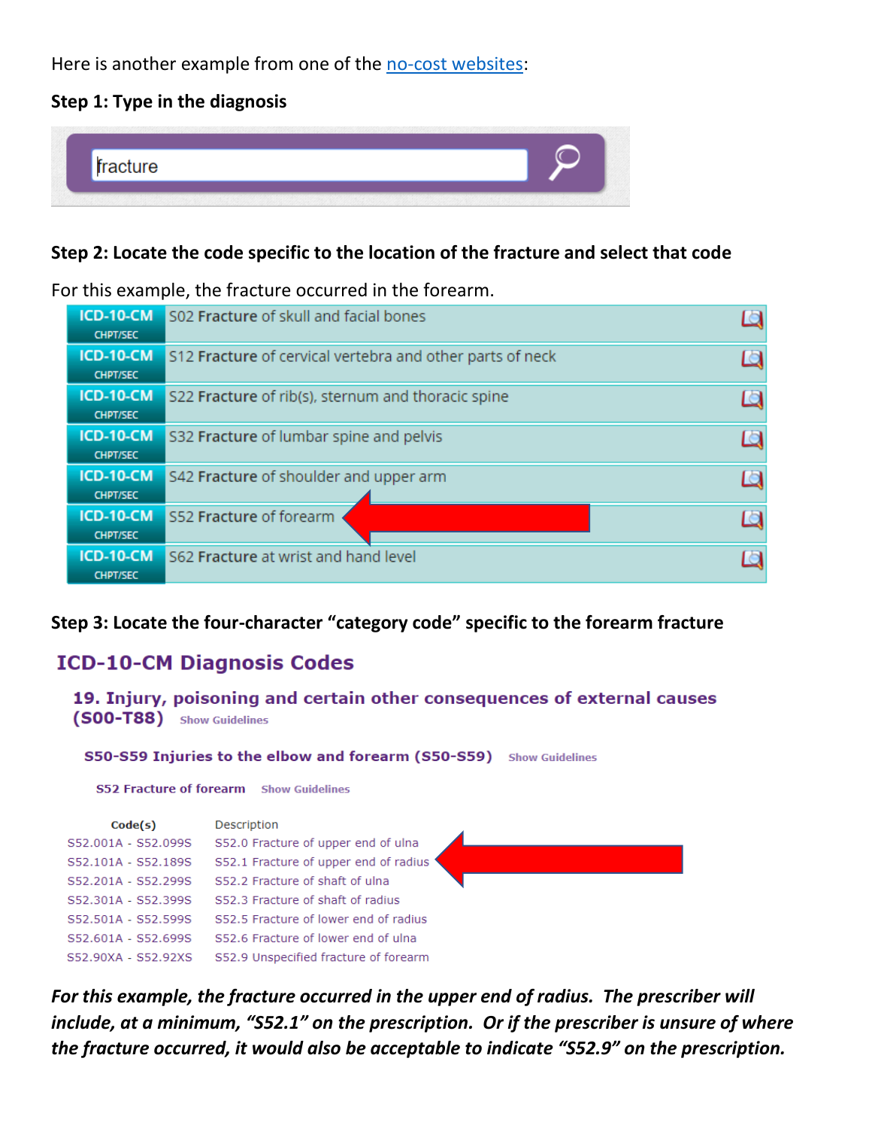Here is another example from one of the [no-cost websites:](https://www.findacode.com/icd-10-cm/icd-10-cm-diagnosis-codes-set.html)

## **Step 1: Type in the diagnosis**



## **Step 2: Locate the code specific to the location of the fracture and select that code**

## For this example, the fracture occurred in the forearm.

| <b>ICD-10-CM</b><br><b>CHPT/SEC</b> | S02 Fracture of skull and facial bones                    |  |
|-------------------------------------|-----------------------------------------------------------|--|
| ICD-10-CM<br><b>CHPT/SEC</b>        | S12 Fracture of cervical vertebra and other parts of neck |  |
| <b>ICD-10-CM</b><br><b>CHPT/SEC</b> | S22 Fracture of rib(s), sternum and thoracic spine        |  |
| ICD-10-CM<br><b>CHPT/SEC</b>        | S32 Fracture of lumbar spine and pelvis                   |  |
| <b>ICD-10-CM</b><br><b>CHPT/SEC</b> | S42 Fracture of shoulder and upper arm                    |  |
| <b>ICD-10-CM</b><br><b>CHPT/SEC</b> | S52 Fracture of forearm                                   |  |
| <b>ICD-10-CM</b><br><b>CHPT/SEC</b> | S62 Fracture at wrist and hand level                      |  |

## **Step 3: Locate the four-character "category code" specific to the forearm fracture**

# **ICD-10-CM Diagnosis Codes**

```
19. Injury, poisoning and certain other consequences of external causes
(SOO-T88) Show Guidelines
 S50-S59 Injuries to the elbow and forearm (S50-S59) Show Guidelines
  S52 Fracture of forearm Show Guidelines
```

| Code(s)             | Description                            |  |
|---------------------|----------------------------------------|--|
| S52.001A - S52.099S | S52.0 Fracture of upper end of ulna    |  |
| S52.101A - S52.189S | \$52.1 Fracture of upper end of radius |  |
| S52.201A - S52.299S | S52.2 Fracture of shaft of ulna        |  |
| S52.301A - S52.399S | S52.3 Fracture of shaft of radius      |  |
| S52.501A - S52.599S | S52.5 Fracture of lower end of radius  |  |
| S52.601A - S52.699S | S52.6 Fracture of lower end of ulna    |  |
| S52.90XA - S52.92XS | S52.9 Unspecified fracture of forearm  |  |

*For this example, the fracture occurred in the upper end of radius. The prescriber will include, at a minimum, "S52.1" on the prescription. Or if the prescriber is unsure of where the fracture occurred, it would also be acceptable to indicate "S52.9" on the prescription.*